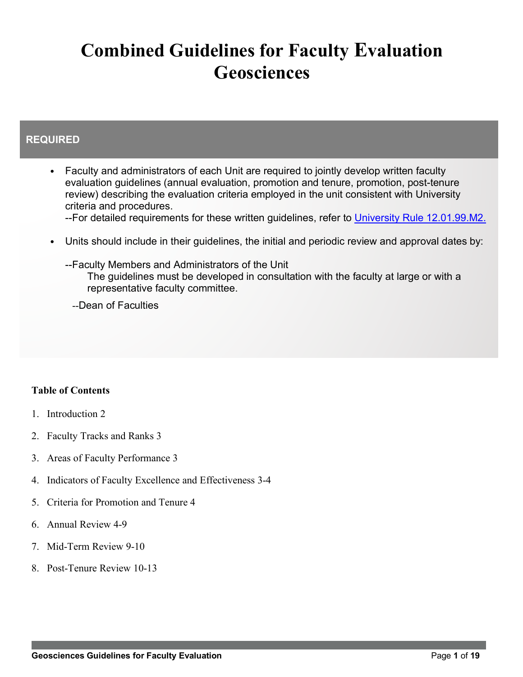# **Combined Guidelines for Faculty Evaluation Geosciences**

# **REQUIRED**

- Faculty and administrators of each Unit are required to jointly develop written faculty evaluation guidelines (annual evaluation, promotion and tenure, promotion, post-tenure review) describing the evaluation criteria employed in the unit consistent with University criteria and procedures.
	- --For detailed requirements for these written guidelines, refer to University Rule 12.01.99.M2.
- Units should include in their guidelines, the initial and periodic review and approval dates by:
	- --Faculty Members and Administrators of the Unit The guidelines must be developed in consultation with the faculty at large or with a representative faculty committee.

--Dean of Faculties

# **Table of Contents**

- 1. Introduction 2
- 2. Faculty Tracks and Ranks 3
- 3. Areas of Faculty Performance 3
- 4. Indicators of Faculty Excellence and Effectiveness 3-4
- 5. Criteria for Promotion and Tenure 4
- 6. Annual Review 4-9
- 7. Mid-Term Review 9-10
- 8. Post-Tenure Review 10-13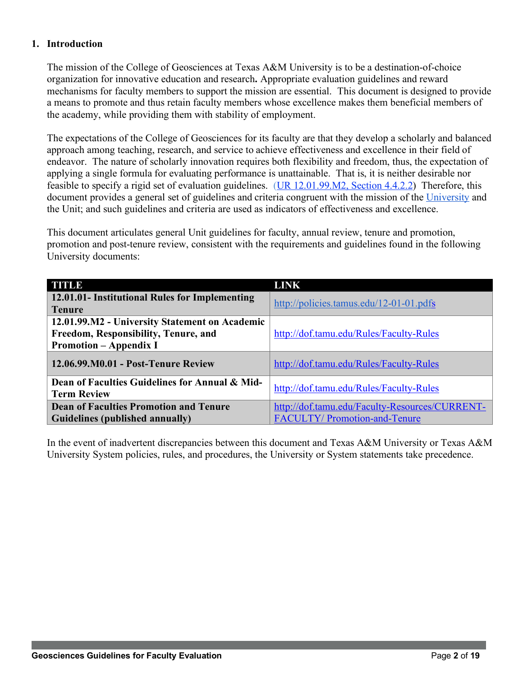## **1. Introduction**

The mission of the College of Geosciences at Texas A&M University is to be a destination-of-choice organization for innovative education and research**.** Appropriate evaluation guidelines and reward mechanisms for faculty members to support the mission are essential. This document is designed to provide a means to promote and thus retain faculty members whose excellence makes them beneficial members of the academy, while providing them with stability of employment.

The expectations of the College of Geosciences for its faculty are that they develop a scholarly and balanced approach among teaching, research, and service to achieve effectiveness and excellence in their field of endeavor. The nature of scholarly innovation requires both flexibility and freedom, thus, the expectation of applying a single formula for evaluating performance is unattainable. That is, it is neither desirable nor feasible to specify a rigid set of evaluation guidelines. (UR 12.01.99.M2, Section 4.4.2.2) Therefore, this document provides a general set of guidelines and criteria congruent with the mission of the University and the Unit; and such guidelines and criteria are used as indicators of effectiveness and excellence.

This document articulates general Unit guidelines for faculty, annual review, tenure and promotion, promotion and post-tenure review, consistent with the requirements and guidelines found in the following University documents:

| <b>TITUD</b>                                                         | <b>LINK</b>                                    |
|----------------------------------------------------------------------|------------------------------------------------|
| 12.01.01- Institutional Rules for Implementing                       | http://policies.tamus.edu/12-01-01.pdfs        |
| <b>Tenure</b>                                                        |                                                |
| 12.01.99.M2 - University Statement on Academic                       |                                                |
| Freedom, Responsibility, Tenure, and                                 | http://dof.tamu.edu/Rules/Faculty-Rules        |
| <b>Promotion – Appendix I</b>                                        |                                                |
| 12.06.99.M0.01 - Post-Tenure Review                                  | http://dof.tamu.edu/Rules/Faculty-Rules        |
| Dean of Faculties Guidelines for Annual & Mid-<br><b>Term Review</b> | http://dof.tamu.edu/Rules/Faculty-Rules        |
| <b>Dean of Faculties Promotion and Tenure</b>                        | http://dof.tamu.edu/Faculty-Resources/CURRENT- |
| Guidelines (published annually)                                      | <b>FACULTY/Promotion-and-Tenure</b>            |

In the event of inadvertent discrepancies between this document and Texas A&M University or Texas A&M University System policies, rules, and procedures, the University or System statements take precedence.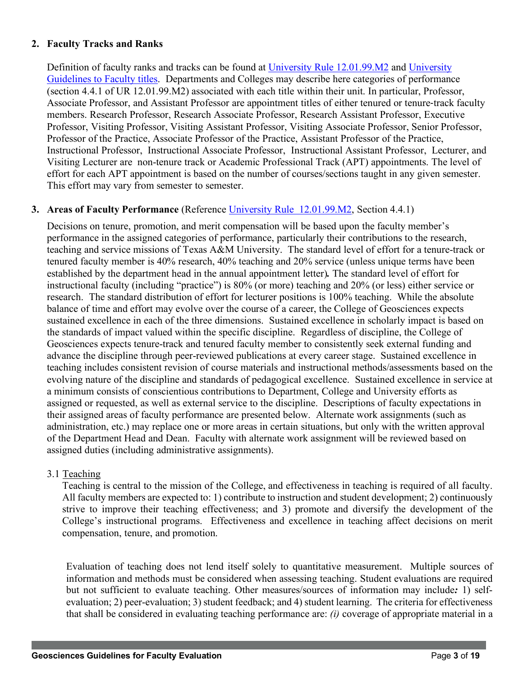## **2. Faculty Tracks and Ranks**

Definition of faculty ranks and tracks can be found at University Rule 12.01.99.M2 and University Guidelines to Faculty titles. Departments and Colleges may describe here categories of performance (section 4.4.1 of UR 12.01.99.M2) associated with each title within their unit. In particular, Professor, Associate Professor, and Assistant Professor are appointment titles of either tenured or tenure-track faculty members. Research Professor, Research Associate Professor, Research Assistant Professor, Executive Professor, Visiting Professor, Visiting Assistant Professor, Visiting Associate Professor, Senior Professor, Professor of the Practice, Associate Professor of the Practice, Assistant Professor of the Practice, Instructional Professor, Instructional Associate Professor, Instructional Assistant Professor, Lecturer, and Visiting Lecturer are non-tenure track or Academic Professional Track (APT) appointments. The level of effort for each APT appointment is based on the number of courses/sections taught in any given semester. This effort may vary from semester to semester.

## **3. Areas of Faculty Performance** (Reference University Rule 12.01.99.M2, Section 4.4.1)

Decisions on tenure, promotion, and merit compensation will be based upon the faculty member's performance in the assigned categories of performance, particularly their contributions to the research, teaching and service missions of Texas A&M University. The standard level of effort for a tenure-track or tenured faculty member is 40% research, 40% teaching and 20% service (unless unique terms have been established by the department head in the annual appointment letter)*.* The standard level of effort for instructional faculty (including "practice") is 80% (or more) teaching and 20% (or less) either service or research. The standard distribution of effort for lecturer positions is 100% teaching. While the absolute balance of time and effort may evolve over the course of a career, the College of Geosciences expects sustained excellence in each of the three dimensions. Sustained excellence in scholarly impact is based on the standards of impact valued within the specific discipline. Regardless of discipline, the College of Geosciences expects tenure-track and tenured faculty member to consistently seek external funding and advance the discipline through peer-reviewed publications at every career stage. Sustained excellence in teaching includes consistent revision of course materials and instructional methods/assessments based on the evolving nature of the discipline and standards of pedagogical excellence. Sustained excellence in service at a minimum consists of conscientious contributions to Department, College and University efforts as assigned or requested, as well as external service to the discipline. Descriptions of faculty expectations in their assigned areas of faculty performance are presented below. Alternate work assignments (such as administration, etc.) may replace one or more areas in certain situations, but only with the written approval of the Department Head and Dean. Faculty with alternate work assignment will be reviewed based on assigned duties (including administrative assignments).

## 3.1 Teaching

Teaching is central to the mission of the College, and effectiveness in teaching is required of all faculty. All faculty members are expected to: 1) contribute to instruction and student development; 2) continuously strive to improve their teaching effectiveness; and 3) promote and diversify the development of the College's instructional programs. Effectiveness and excellence in teaching affect decisions on merit compensation, tenure, and promotion.

Evaluation of teaching does not lend itself solely to quantitative measurement. Multiple sources of information and methods must be considered when assessing teaching. Student evaluations are required but not sufficient to evaluate teaching. Other measures/sources of information may include*:* 1) selfevaluation; 2) peer-evaluation; 3) student feedback; and 4) student learning. The criteria for effectiveness that shall be considered in evaluating teaching performance are: *(i)* coverage of appropriate material in a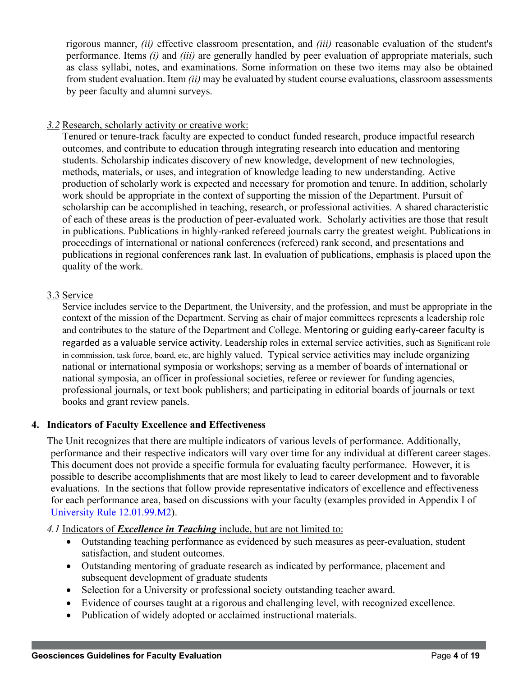rigorous manner, *(ii)* effective classroom presentation, and *(iii)* reasonable evaluation of the student's performance. Items *(i)* and *(iii)* are generally handled by peer evaluation of appropriate materials, such as class syllabi, notes, and examinations. Some information on these two items may also be obtained from student evaluation. Item *(ii)* may be evaluated by student course evaluations, classroom assessments by peer faculty and alumni surveys.

### *3.2* Research, scholarly activity or creative work:

Tenured or tenure-track faculty are expected to conduct funded research, produce impactful research outcomes, and contribute to education through integrating research into education and mentoring students. Scholarship indicates discovery of new knowledge, development of new technologies, methods, materials, or uses, and integration of knowledge leading to new understanding. Active production of scholarly work is expected and necessary for promotion and tenure. In addition, scholarly work should be appropriate in the context of supporting the mission of the Department. Pursuit of scholarship can be accomplished in teaching, research, or professional activities. A shared characteristic of each of these areas is the production of peer-evaluated work. Scholarly activities are those that result in publications. Publications in highly-ranked refereed journals carry the greatest weight. Publications in proceedings of international or national conferences (refereed) rank second, and presentations and publications in regional conferences rank last. In evaluation of publications, emphasis is placed upon the quality of the work.

## 3.3 Service

Service includes service to the Department, the University, and the profession, and must be appropriate in the context of the mission of the Department. Serving as chair of major committees represents a leadership role and contributes to the stature of the Department and College. Mentoring or guiding early-career faculty is regarded as a valuable service activity. Leadership roles in external service activities, such as Significant role in commission, task force, board, etc, are highly valued. Typical service activities may include organizing national or international symposia or workshops; serving as a member of boards of international or national symposia, an officer in professional societies, referee or reviewer for funding agencies, professional journals, or text book publishers; and participating in editorial boards of journals or text books and grant review panels.

## **4. Indicators of Faculty Excellence and Effectiveness**

The Unit recognizes that there are multiple indicators of various levels of performance. Additionally, performance and their respective indicators will vary over time for any individual at different career stages. This document does not provide a specific formula for evaluating faculty performance. However, it is possible to describe accomplishments that are most likely to lead to career development and to favorable evaluations. In the sections that follow provide representative indicators of excellence and effectiveness for each performance area, based on discussions with your faculty (examples provided in Appendix I of University Rule 12.01.99.M2).

*4.1* Indicators of *Excellence in Teaching* include, but are not limited to:

- Outstanding teaching performance as evidenced by such measures as peer-evaluation, student satisfaction, and student outcomes.
- Outstanding mentoring of graduate research as indicated by performance, placement and subsequent development of graduate students
- Selection for a University or professional society outstanding teacher award.
- Evidence of courses taught at a rigorous and challenging level, with recognized excellence.
- Publication of widely adopted or acclaimed instructional materials.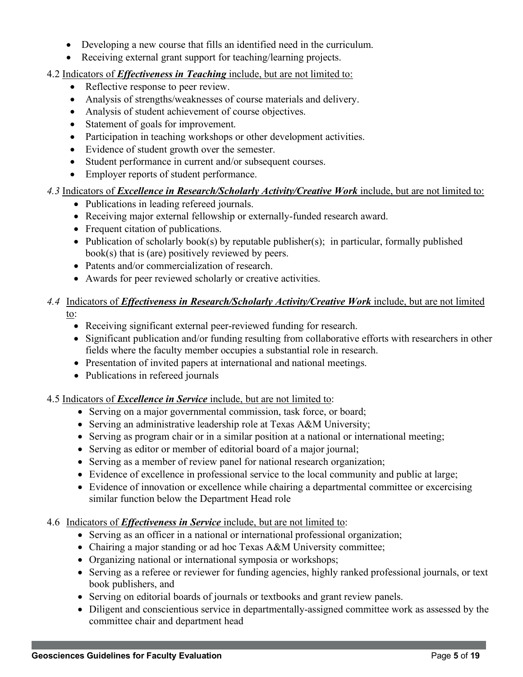- Developing a new course that fills an identified need in the curriculum.
- Receiving external grant support for teaching/learning projects.

## 4.2 Indicators of *Effectiveness in Teaching* include, but are not limited to:

- Reflective response to peer review.
- Analysis of strengths/weaknesses of course materials and delivery.
- Analysis of student achievement of course objectives.
- Statement of goals for improvement.
- Participation in teaching workshops or other development activities.
- Evidence of student growth over the semester.
- Student performance in current and/or subsequent courses.
- Employer reports of student performance.

## *4.3* Indicators of *Excellence in Research/Scholarly Activity/Creative Work* include, but are not limited to:

- Publications in leading refereed journals.
- Receiving major external fellowship or externally-funded research award.
- Frequent citation of publications.
- Publication of scholarly book(s) by reputable publisher(s); in particular, formally published book(s) that is (are) positively reviewed by peers.
- Patents and/or commercialization of research.
- Awards for peer reviewed scholarly or creative activities.

### *4.4* Indicators of *Effectiveness in Research/Scholarly Activity/Creative Work* include, but are not limited to:

- Receiving significant external peer-reviewed funding for research.
- Significant publication and/or funding resulting from collaborative efforts with researchers in other fields where the faculty member occupies a substantial role in research.
- Presentation of invited papers at international and national meetings.
- Publications in refereed journals

## 4.5 Indicators of *Excellence in Service* include, but are not limited to:

- Serving on a major governmental commission, task force, or board;
- Serving an administrative leadership role at Texas A&M University;
- Serving as program chair or in a similar position at a national or international meeting;
- Serving as editor or member of editorial board of a major journal;
- Serving as a member of review panel for national research organization;
- Evidence of excellence in professional service to the local community and public at large;
- Evidence of innovation or excellence while chairing a departmental committee or excercising similar function below the Department Head role
- 4.6 Indicators of *Effectiveness in Service* include, but are not limited to:
	- Serving as an officer in a national or international professional organization;
	- Chairing a major standing or ad hoc Texas A&M University committee;
	- Organizing national or international symposia or workshops;
	- Serving as a referee or reviewer for funding agencies, highly ranked professional journals, or text book publishers, and
	- Serving on editorial boards of journals or textbooks and grant review panels.
	- Diligent and conscientious service in departmentally-assigned committee work as assessed by the committee chair and department head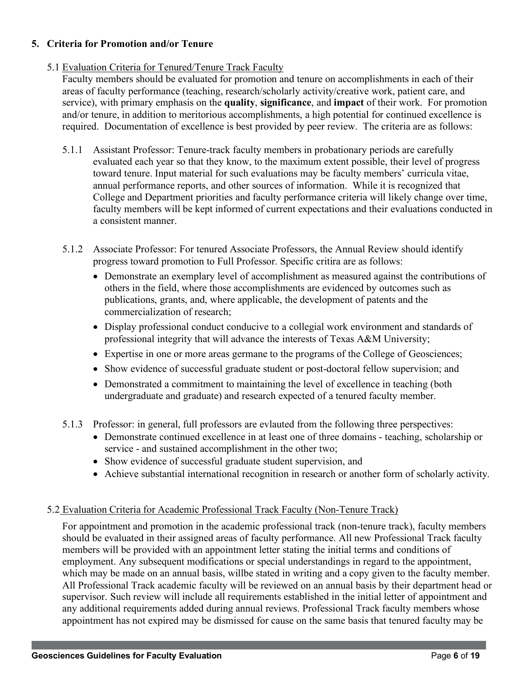## **5. Criteria for Promotion and/or Tenure**

## 5.1 Evaluation Criteria for Tenured/Tenure Track Faculty

Faculty members should be evaluated for promotion and tenure on accomplishments in each of their areas of faculty performance (teaching, research/scholarly activity/creative work, patient care, and service), with primary emphasis on the **quality**, **significance**, and **impact** of their work. For promotion and/or tenure, in addition to meritorious accomplishments, a high potential for continued excellence is required. Documentation of excellence is best provided by peer review. The criteria are as follows:

- 5.1.1 Assistant Professor: Tenure-track faculty members in probationary periods are carefully evaluated each year so that they know, to the maximum extent possible, their level of progress toward tenure. Input material for such evaluations may be faculty members' curricula vitae, annual performance reports, and other sources of information. While it is recognized that College and Department priorities and faculty performance criteria will likely change over time, faculty members will be kept informed of current expectations and their evaluations conducted in a consistent manner.
- 5.1.2 Associate Professor: For tenured Associate Professors, the Annual Review should identify progress toward promotion to Full Professor. Specific critira are as follows:
	- Demonstrate an exemplary level of accomplishment as measured against the contributions of others in the field, where those accomplishments are evidenced by outcomes such as publications, grants, and, where applicable, the development of patents and the commercialization of research;
	- Display professional conduct conducive to a collegial work environment and standards of professional integrity that will advance the interests of Texas A&M University;
	- Expertise in one or more areas germane to the programs of the College of Geosciences;
	- Show evidence of successful graduate student or post-doctoral fellow supervision; and
	- Demonstrated a commitment to maintaining the level of excellence in teaching (both undergraduate and graduate) and research expected of a tenured faculty member.
- 5.1.3 Professor: in general, full professors are evlauted from the following three perspectives:
	- Demonstrate continued excellence in at least one of three domains teaching, scholarship or service - and sustained accomplishment in the other two;
	- Show evidence of successful graduate student supervision, and
	- Achieve substantial international recognition in research or another form of scholarly activity.

## 5.2 Evaluation Criteria for Academic Professional Track Faculty (Non-Tenure Track)

For appointment and promotion in the academic professional track (non-tenure track), faculty members should be evaluated in their assigned areas of faculty performance. All new Professional Track faculty members will be provided with an appointment letter stating the initial terms and conditions of employment. Any subsequent modifications or special understandings in regard to the appointment, which may be made on an annual basis, willbe stated in writing and a copy given to the faculty member. All Professional Track academic faculty will be reviewed on an annual basis by their department head or supervisor. Such review will include all requirements established in the initial letter of appointment and any additional requirements added during annual reviews. Professional Track faculty members whose appointment has not expired may be dismissed for cause on the same basis that tenured faculty may be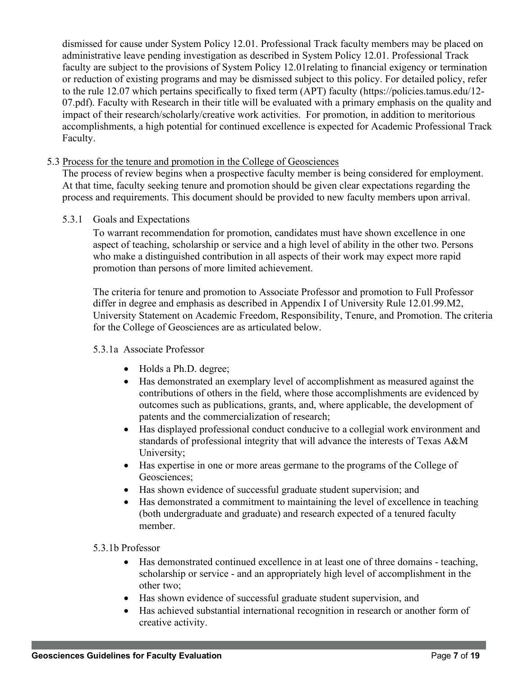dismissed for cause under System Policy 12.01. Professional Track faculty members may be placed on administrative leave pending investigation as described in System Policy 12.01. Professional Track faculty are subject to the provisions of System Policy 12.01relating to financial exigency or termination or reduction of existing programs and may be dismissed subject to this policy. For detailed policy, refer to the rule 12.07 which pertains specifically to fixed term (APT) faculty (https://policies.tamus.edu/12- 07.pdf). Faculty with Research in their title will be evaluated with a primary emphasis on the quality and impact of their research/scholarly/creative work activities. For promotion, in addition to meritorious accomplishments, a high potential for continued excellence is expected for Academic Professional Track Faculty.

#### 5.3 Process for the tenure and promotion in the College of Geosciences

The process of review begins when a prospective faculty member is being considered for employment. At that time, faculty seeking tenure and promotion should be given clear expectations regarding the process and requirements. This document should be provided to new faculty members upon arrival.

#### 5.3.1 Goals and Expectations

To warrant recommendation for promotion, candidates must have shown excellence in one aspect of teaching, scholarship or service and a high level of ability in the other two. Persons who make a distinguished contribution in all aspects of their work may expect more rapid promotion than persons of more limited achievement.

The criteria for tenure and promotion to Associate Professor and promotion to Full Professor differ in degree and emphasis as described in Appendix I of University Rule 12.01.99.M2, University Statement on Academic Freedom, Responsibility, Tenure, and Promotion. The criteria for the College of Geosciences are as articulated below.

#### 5.3.1a Associate Professor

- Holds a Ph.D. degree;
- Has demonstrated an exemplary level of accomplishment as measured against the contributions of others in the field, where those accomplishments are evidenced by outcomes such as publications, grants, and, where applicable, the development of patents and the commercialization of research;
- Has displayed professional conduct conducive to a collegial work environment and standards of professional integrity that will advance the interests of Texas A&M University;
- Has expertise in one or more areas germane to the programs of the College of Geosciences;
- Has shown evidence of successful graduate student supervision; and
- Has demonstrated a commitment to maintaining the level of excellence in teaching (both undergraduate and graduate) and research expected of a tenured faculty member.

#### 5.3.1b Professor

- Has demonstrated continued excellence in at least one of three domains teaching, scholarship or service - and an appropriately high level of accomplishment in the other two;
- Has shown evidence of successful graduate student supervision, and
- Has achieved substantial international recognition in research or another form of creative activity.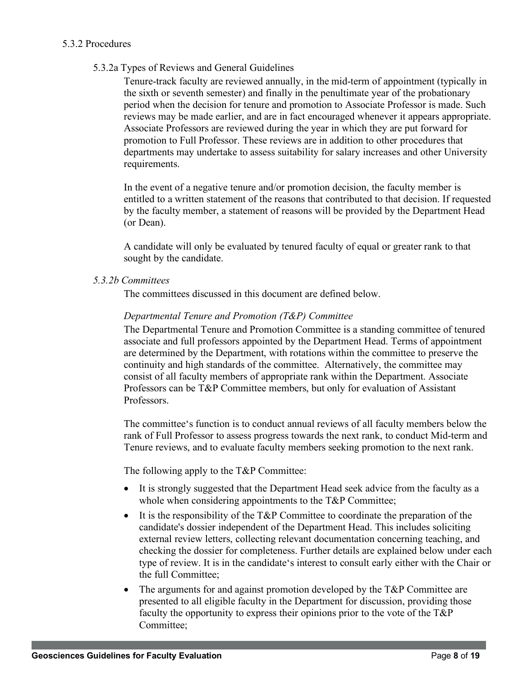## 5.3.2 Procedures

5.3.2a Types of Reviews and General Guidelines

Tenure-track faculty are reviewed annually, in the mid-term of appointment (typically in the sixth or seventh semester) and finally in the penultimate year of the probationary period when the decision for tenure and promotion to Associate Professor is made. Such reviews may be made earlier, and are in fact encouraged whenever it appears appropriate. Associate Professors are reviewed during the year in which they are put forward for promotion to Full Professor. These reviews are in addition to other procedures that departments may undertake to assess suitability for salary increases and other University requirements.

In the event of a negative tenure and/or promotion decision, the faculty member is entitled to a written statement of the reasons that contributed to that decision. If requested by the faculty member, a statement of reasons will be provided by the Department Head (or Dean).

A candidate will only be evaluated by tenured faculty of equal or greater rank to that sought by the candidate.

*5.3.2b Committees* 

The committees discussed in this document are defined below.

#### *Departmental Tenure and Promotion (T&P) Committee*

The Departmental Tenure and Promotion Committee is a standing committee of tenured associate and full professors appointed by the Department Head. Terms of appointment are determined by the Department, with rotations within the committee to preserve the continuity and high standards of the committee. Alternatively, the committee may consist of all faculty members of appropriate rank within the Department. Associate Professors can be T&P Committee members, but only for evaluation of Assistant Professors.

The committee's function is to conduct annual reviews of all faculty members below the rank of Full Professor to assess progress towards the next rank, to conduct Mid-term and Tenure reviews, and to evaluate faculty members seeking promotion to the next rank.

The following apply to the T&P Committee:

- It is strongly suggested that the Department Head seek advice from the faculty as a whole when considering appointments to the T&P Committee;
- It is the responsibility of the T&P Committee to coordinate the preparation of the candidate's dossier independent of the Department Head. This includes soliciting external review letters, collecting relevant documentation concerning teaching, and checking the dossier for completeness. Further details are explained below under each type of review. It is in the candidate's interest to consult early either with the Chair or the full Committee;
- The arguments for and against promotion developed by the T&P Committee are presented to all eligible faculty in the Department for discussion, providing those faculty the opportunity to express their opinions prior to the vote of the T&P Committee;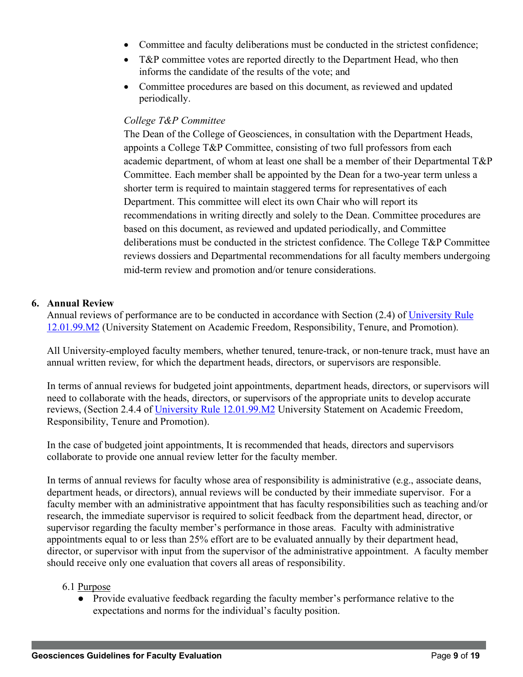- Committee and faculty deliberations must be conducted in the strictest confidence;
- T&P committee votes are reported directly to the Department Head, who then informs the candidate of the results of the vote; and
- Committee procedures are based on this document, as reviewed and updated periodically.

## *College T&P Committee*

The Dean of the College of Geosciences, in consultation with the Department Heads, appoints a College T&P Committee, consisting of two full professors from each academic department, of whom at least one shall be a member of their Departmental T&P Committee. Each member shall be appointed by the Dean for a two-year term unless a shorter term is required to maintain staggered terms for representatives of each Department. This committee will elect its own Chair who will report its recommendations in writing directly and solely to the Dean. Committee procedures are based on this document, as reviewed and updated periodically, and Committee deliberations must be conducted in the strictest confidence. The College T&P Committee reviews dossiers and Departmental recommendations for all faculty members undergoing mid-term review and promotion and/or tenure considerations.

## **6. Annual Review**

Annual reviews of performance are to be conducted in accordance with Section (2.4) of University Rule 12.01.99.M2 (University Statement on Academic Freedom, Responsibility, Tenure, and Promotion).

All University-employed faculty members, whether tenured, tenure-track, or non-tenure track, must have an annual written review, for which the department heads, directors, or supervisors are responsible.

In terms of annual reviews for budgeted joint appointments, department heads, directors, or supervisors will need to collaborate with the heads, directors, or supervisors of the appropriate units to develop accurate reviews, (Section 2.4.4 of University Rule 12.01.99.M2 University Statement on Academic Freedom, Responsibility, Tenure and Promotion).

In the case of budgeted joint appointments, It is recommended that heads, directors and supervisors collaborate to provide one annual review letter for the faculty member.

In terms of annual reviews for faculty whose area of responsibility is administrative (e.g., associate deans, department heads, or directors), annual reviews will be conducted by their immediate supervisor. For a faculty member with an administrative appointment that has faculty responsibilities such as teaching and/or research, the immediate supervisor is required to solicit feedback from the department head, director, or supervisor regarding the faculty member's performance in those areas. Faculty with administrative appointments equal to or less than 25% effort are to be evaluated annually by their department head, director, or supervisor with input from the supervisor of the administrative appointment. A faculty member should receive only one evaluation that covers all areas of responsibility.

# 6.1 Purpose

● Provide evaluative feedback regarding the faculty member's performance relative to the expectations and norms for the individual's faculty position.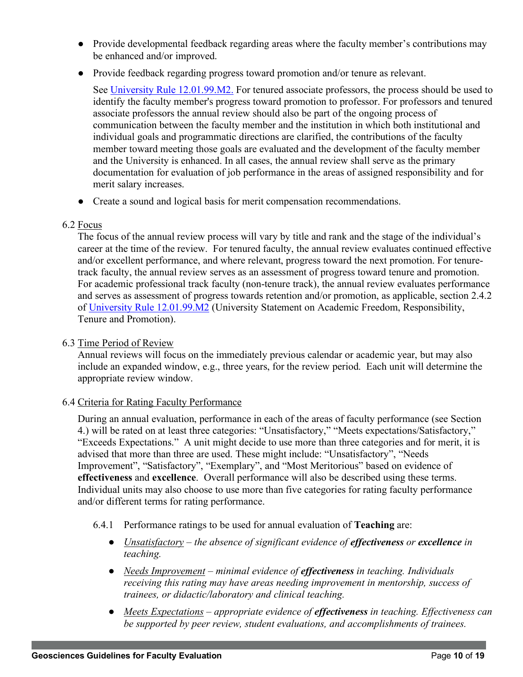- Provide developmental feedback regarding areas where the faculty member's contributions may be enhanced and/or improved.
- Provide feedback regarding progress toward promotion and/or tenure as relevant.

See University Rule 12.01.99.M2. For tenured associate professors, the process should be used to identify the faculty member's progress toward promotion to professor. For professors and tenured associate professors the annual review should also be part of the ongoing process of communication between the faculty member and the institution in which both institutional and individual goals and programmatic directions are clarified, the contributions of the faculty member toward meeting those goals are evaluated and the development of the faculty member and the University is enhanced. In all cases, the annual review shall serve as the primary documentation for evaluation of job performance in the areas of assigned responsibility and for merit salary increases.

● Create a sound and logical basis for merit compensation recommendations.

#### 6.2 Focus

The focus of the annual review process will vary by title and rank and the stage of the individual's career at the time of the review. For tenured faculty, the annual review evaluates continued effective and/or excellent performance, and where relevant, progress toward the next promotion. For tenuretrack faculty, the annual review serves as an assessment of progress toward tenure and promotion. For academic professional track faculty (non-tenure track), the annual review evaluates performance and serves as assessment of progress towards retention and/or promotion, as applicable, section 2.4.2 of University Rule 12.01.99.M2 (University Statement on Academic Freedom, Responsibility, Tenure and Promotion).

### 6.3 Time Period of Review

Annual reviews will focus on the immediately previous calendar or academic year, but may also include an expanded window, e.g., three years, for the review period. Each unit will determine the appropriate review window.

#### 6.4 Criteria for Rating Faculty Performance

During an annual evaluation, performance in each of the areas of faculty performance (see Section 4.) will be rated on at least three categories: "Unsatisfactory," "Meets expectations/Satisfactory," "Exceeds Expectations." A unit might decide to use more than three categories and for merit, it is advised that more than three are used. These might include: "Unsatisfactory", "Needs Improvement", "Satisfactory", "Exemplary", and "Most Meritorious" based on evidence of **effectiveness** and **excellence**. Overall performance will also be described using these terms. Individual units may also choose to use more than five categories for rating faculty performance and/or different terms for rating performance.

- 6.4.1 Performance ratings to be used for annual evaluation of **Teaching** are:
	- *Unsatisfactory – the absence of significant evidence of effectiveness or excellence in teaching.*
	- *Needs Improvement – minimal evidence of effectiveness in teaching. Individuals receiving this rating may have areas needing improvement in mentorship, success of trainees, or didactic/laboratory and clinical teaching.*
	- *Meets Expectations – appropriate evidence of effectiveness in teaching. Effectiveness can be supported by peer review, student evaluations, and accomplishments of trainees.*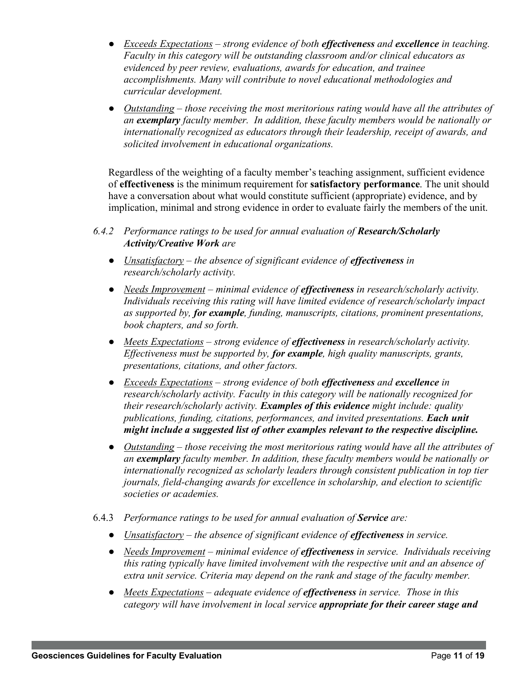- *Exceeds Expectations – strong evidence of both effectiveness and excellence in teaching. Faculty in this category will be outstanding classroom and/or clinical educators as evidenced by peer review, evaluations, awards for education, and trainee accomplishments. Many will contribute to novel educational methodologies and curricular development.*
- *Outstanding – those receiving the most meritorious rating would have all the attributes of an exemplary faculty member. In addition, these faculty members would be nationally or internationally recognized as educators through their leadership, receipt of awards, and solicited involvement in educational organizations.*

Regardless of the weighting of a faculty member's teaching assignment, sufficient evidence of **effectiveness** is the minimum requirement for **satisfactory performance**. The unit should have a conversation about what would constitute sufficient (appropriate) evidence, and by implication, minimal and strong evidence in order to evaluate fairly the members of the unit.

- *6.4.2 Performance ratings to be used for annual evaluation of Research/Scholarly Activity/Creative Work are*
	- *Unsatisfactory – the absence of significant evidence of effectiveness in research/scholarly activity.*
	- *Needs Improvement – minimal evidence of effectiveness in research/scholarly activity. Individuals receiving this rating will have limited evidence of research/scholarly impact as supported by, for example, funding, manuscripts, citations, prominent presentations, book chapters, and so forth.*
	- *Meets Expectations – strong evidence of effectiveness in research/scholarly activity. Effectiveness must be supported by, for example, high quality manuscripts, grants, presentations, citations, and other factors.*
	- *Exceeds Expectations – strong evidence of both effectiveness and excellence in research/scholarly activity. Faculty in this category will be nationally recognized for their research/scholarly activity. Examples of this evidence might include: quality publications, funding, citations, performances, and invited presentations. Each unit might include a suggested list of other examples relevant to the respective discipline.*
	- *Outstanding – those receiving the most meritorious rating would have all the attributes of an exemplary faculty member. In addition, these faculty members would be nationally or internationally recognized as scholarly leaders through consistent publication in top tier journals, field-changing awards for excellence in scholarship, and election to scientific societies or academies.*
- 6.4.3 *Performance ratings to be used for annual evaluation of Service are:*
	- *Unsatisfactory – the absence of significant evidence of effectiveness in service.*
	- *Needs Improvement – minimal evidence of effectiveness in service. Individuals receiving this rating typically have limited involvement with the respective unit and an absence of extra unit service. Criteria may depend on the rank and stage of the faculty member.*
	- *Meets Expectations – adequate evidence of effectiveness in service. Those in this category will have involvement in local service appropriate for their career stage and*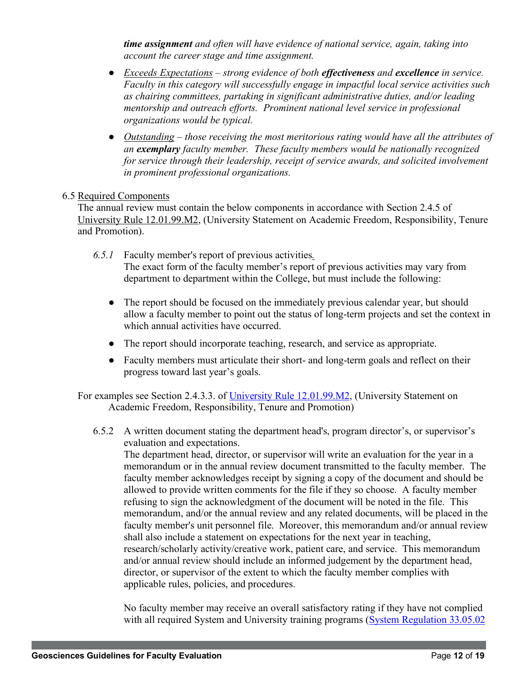*time assignment and often will have evidence of national service, again, taking into account the career stage and time assignment.* 

- *Exceeds Expectations – strong evidence of both effectiveness and excellence in service. Faculty in this category will successfully engage in impactful local service activities such as chairing committees, partaking in significant administrative duties, and/or leading mentorship and outreach efforts. Prominent national level service in professional organizations would be typical.*
- *Outstanding – those receiving the most meritorious rating would have all the attributes of an exemplary faculty member. These faculty members would be nationally recognized for service through their leadership, receipt of service awards, and solicited involvement in prominent professional organizations.*

## 6.5 Required Components

The annual review must contain the below components in accordance with Section 2.4.5 of University Rule 12.01.99.M2, (University Statement on Academic Freedom, Responsibility, Tenure and Promotion).

- *6.5.1* Faculty member's report of previous activities*.*  The exact form of the faculty member's report of previous activities may vary from department to department within the College, but must include the following:
	- The report should be focused on the immediately previous calendar year, but should allow a faculty member to point out the status of long-term projects and set the context in which annual activities have occurred.
	- The report should incorporate teaching, research, and service as appropriate.
	- Faculty members must articulate their short- and long-term goals and reflect on their progress toward last year's goals.

For examples see Section 2.4.3.3. of University Rule 12.01.99.M2, (University Statement on Academic Freedom, Responsibility, Tenure and Promotion)

6.5.2 A written document stating the department head's, program director's, or supervisor's evaluation and expectations.

The department head, director, or supervisor will write an evaluation for the year in a memorandum or in the annual review document transmitted to the faculty member. The faculty member acknowledges receipt by signing a copy of the document and should be allowed to provide written comments for the file if they so choose. A faculty member refusing to sign the acknowledgment of the document will be noted in the file. This memorandum, and/or the annual review and any related documents, will be placed in the faculty member's unit personnel file. Moreover, this memorandum and/or annual review shall also include a statement on expectations for the next year in teaching, research/scholarly activity/creative work, patient care, and service. This memorandum and/or annual review should include an informed judgement by the department head, director, or supervisor of the extent to which the faculty member complies with applicable rules, policies, and procedures.

No faculty member may receive an overall satisfactory rating if they have not complied with all required System and University training programs (System Regulation 33.05.02)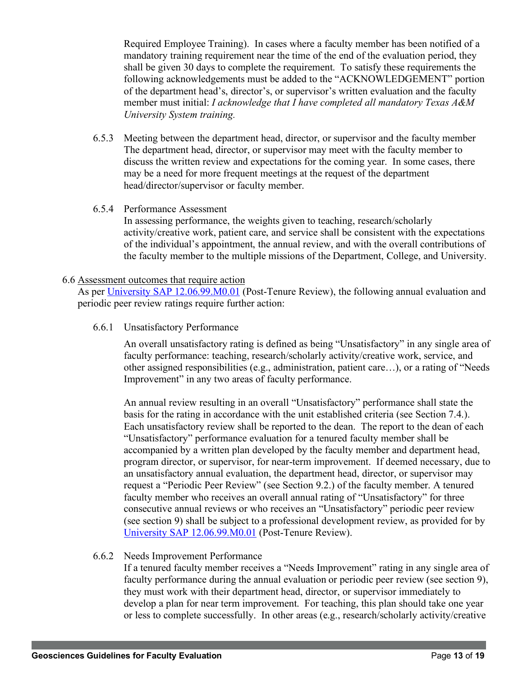Required Employee Training). In cases where a faculty member has been notified of a mandatory training requirement near the time of the end of the evaluation period, they shall be given 30 days to complete the requirement. To satisfy these requirements the following acknowledgements must be added to the "ACKNOWLEDGEMENT" portion of the department head's, director's, or supervisor's written evaluation and the faculty member must initial: *I acknowledge that I have completed all mandatory Texas A&M University System training.* 

- 6.5.3 Meeting between the department head, director, or supervisor and the faculty member The department head, director, or supervisor may meet with the faculty member to discuss the written review and expectations for the coming year. In some cases, there may be a need for more frequent meetings at the request of the department head/director/supervisor or faculty member.
- 6.5.4 Performance Assessment

In assessing performance, the weights given to teaching, research/scholarly activity/creative work, patient care, and service shall be consistent with the expectations of the individual's appointment, the annual review, and with the overall contributions of the faculty member to the multiple missions of the Department, College, and University.

## 6.6 Assessment outcomes that require action

As per University SAP 12.06.99.M0.01 (Post-Tenure Review), the following annual evaluation and periodic peer review ratings require further action:

6.6.1 Unsatisfactory Performance

An overall unsatisfactory rating is defined as being "Unsatisfactory" in any single area of faculty performance: teaching, research/scholarly activity/creative work, service, and other assigned responsibilities (e.g., administration, patient care…), or a rating of "Needs Improvement" in any two areas of faculty performance.

An annual review resulting in an overall "Unsatisfactory" performance shall state the basis for the rating in accordance with the unit established criteria (see Section 7.4.). Each unsatisfactory review shall be reported to the dean. The report to the dean of each "Unsatisfactory" performance evaluation for a tenured faculty member shall be accompanied by a written plan developed by the faculty member and department head, program director, or supervisor, for near-term improvement. If deemed necessary, due to an unsatisfactory annual evaluation, the department head, director, or supervisor may request a "Periodic Peer Review" (see Section 9.2.) of the faculty member. A tenured faculty member who receives an overall annual rating of "Unsatisfactory" for three consecutive annual reviews or who receives an "Unsatisfactory" periodic peer review (see section 9) shall be subject to a professional development review, as provided for by University SAP 12.06.99.M0.01 (Post-Tenure Review).

# 6.6.2 Needs Improvement Performance

If a tenured faculty member receives a "Needs Improvement" rating in any single area of faculty performance during the annual evaluation or periodic peer review (see section 9), they must work with their department head, director, or supervisor immediately to develop a plan for near term improvement. For teaching, this plan should take one year or less to complete successfully. In other areas (e.g., research/scholarly activity/creative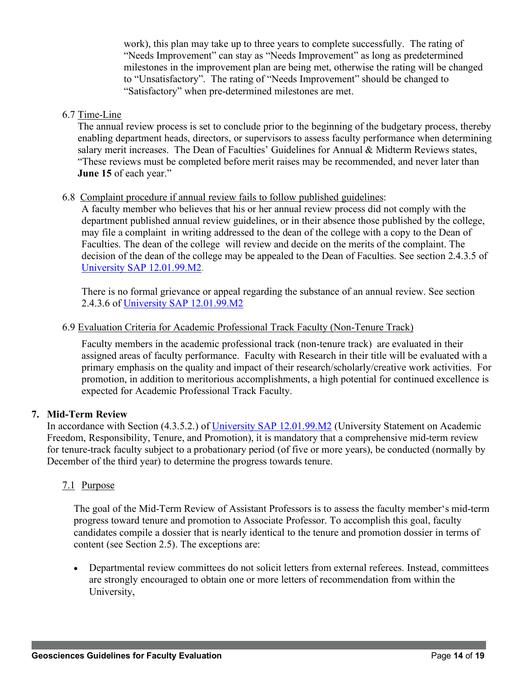work), this plan may take up to three years to complete successfully. The rating of "Needs Improvement" can stay as "Needs Improvement" as long as predetermined milestones in the improvement plan are being met, otherwise the rating will be changed to "Unsatisfactory". The rating of "Needs Improvement" should be changed to "Satisfactory" when pre-determined milestones are met.

### 6.7 Time-Line

The annual review process is set to conclude prior to the beginning of the budgetary process, thereby enabling department heads, directors, or supervisors to assess faculty performance when determining salary merit increases. The Dean of Faculties' Guidelines for Annual & Midterm Reviews states, "These reviews must be completed before merit raises may be recommended, and never later than **June 15** of each year."

#### 6.8 Complaint procedure if annual review fails to follow published guidelines:

A faculty member who believes that his or her annual review process did not comply with the department published annual review guidelines, or in their absence those published by the college, may file a complaint in writing addressed to the dean of the college with a copy to the Dean of Faculties. The dean of the college will review and decide on the merits of the complaint. The decision of the dean of the college may be appealed to the Dean of Faculties. See section 2.4.3.5 of University SAP 12.01.99.M2.

There is no formal grievance or appeal regarding the substance of an annual review. See section 2.4.3.6 of University SAP 12.01.99.M2

#### 6.9 Evaluation Criteria for Academic Professional Track Faculty (Non-Tenure Track)

Faculty members in the academic professional track (non-tenure track) are evaluated in their assigned areas of faculty performance. Faculty with Research in their title will be evaluated with a primary emphasis on the quality and impact of their research/scholarly/creative work activities. For promotion, in addition to meritorious accomplishments, a high potential for continued excellence is expected for Academic Professional Track Faculty.

#### **7. Mid-Term Review**

In accordance with Section (4.3.5.2.) of University SAP 12.01.99.M2 (University Statement on Academic Freedom, Responsibility, Tenure, and Promotion), it is mandatory that a comprehensive mid-term review for tenure-track faculty subject to a probationary period (of five or more years), be conducted (normally by December of the third year) to determine the progress towards tenure.

## 7.1 Purpose

The goal of the Mid-Term Review of Assistant Professors is to assess the faculty member's mid-term progress toward tenure and promotion to Associate Professor. To accomplish this goal, faculty candidates compile a dossier that is nearly identical to the tenure and promotion dossier in terms of content (see Section 2.5). The exceptions are:

• Departmental review committees do not solicit letters from external referees. Instead, committees are strongly encouraged to obtain one or more letters of recommendation from within the University,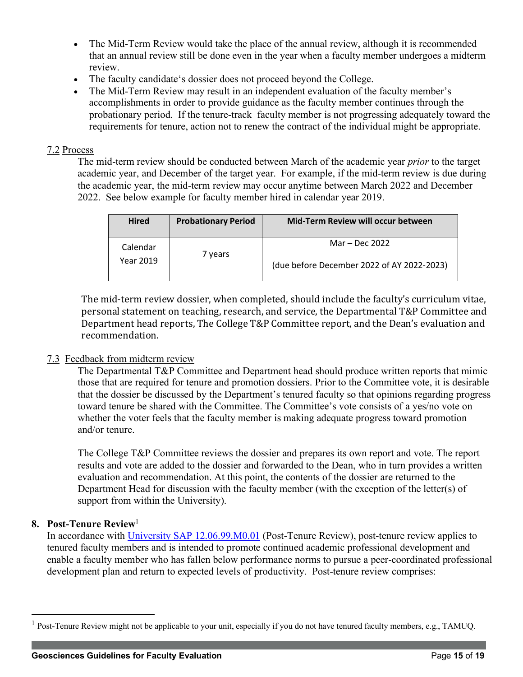- The Mid-Term Review would take the place of the annual review, although it is recommended that an annual review still be done even in the year when a faculty member undergoes a midterm review.
- The faculty candidate's dossier does not proceed beyond the College.
- The Mid-Term Review may result in an independent evaluation of the faculty member's accomplishments in order to provide guidance as the faculty member continues through the probationary period. If the tenure-track faculty member is not progressing adequately toward the requirements for tenure, action not to renew the contract of the individual might be appropriate.

### 7.2 Process

The mid-term review should be conducted between March of the academic year *prior* to the target academic year, and December of the target year. For example, if the mid-term review is due during the academic year, the mid-term review may occur anytime between March 2022 and December 2022. See below example for faculty member hired in calendar year 2019.

| <b>Hired</b>          | <b>Probationary Period</b> | Mid-Term Review will occur between                           |
|-----------------------|----------------------------|--------------------------------------------------------------|
| Calendar<br>Year 2019 | 7 years                    | Mar – Dec 2022<br>(due before December 2022 of AY 2022-2023) |

The mid-term review dossier, when completed, should include the faculty's curriculum vitae, personal statement on teaching, research, and service, the Departmental T&P Committee and Department head reports, The College T&P Committee report, and the Dean's evaluation and recommendation. 

## 7.3 Feedback from midterm review

The Departmental T&P Committee and Department head should produce written reports that mimic those that are required for tenure and promotion dossiers. Prior to the Committee vote, it is desirable that the dossier be discussed by the Department's tenured faculty so that opinions regarding progress toward tenure be shared with the Committee. The Committee's vote consists of a yes/no vote on whether the voter feels that the faculty member is making adequate progress toward promotion and/or tenure.

The College T&P Committee reviews the dossier and prepares its own report and vote. The report results and vote are added to the dossier and forwarded to the Dean, who in turn provides a written evaluation and recommendation. At this point, the contents of the dossier are returned to the Department Head for discussion with the faculty member (with the exception of the letter(s) of support from within the University).

## **8. Post-Tenure Review**<sup>1</sup>

In accordance with University SAP 12.06.99.M0.01 (Post-Tenure Review), post-tenure review applies to tenured faculty members and is intended to promote continued academic professional development and enable a faculty member who has fallen below performance norms to pursue a peer-coordinated professional development plan and return to expected levels of productivity. Post-tenure review comprises:

<sup>&</sup>lt;sup>1</sup> Post-Tenure Review might not be applicable to your unit, especially if you do not have tenured faculty members, e.g., TAMUQ.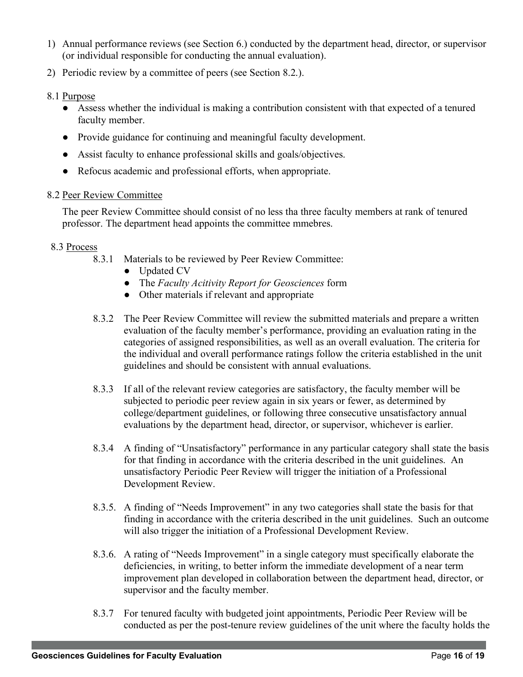- 1) Annual performance reviews (see Section 6.) conducted by the department head, director, or supervisor (or individual responsible for conducting the annual evaluation).
- 2) Periodic review by a committee of peers (see Section 8.2.).

## 8.1 Purpose

- Assess whether the individual is making a contribution consistent with that expected of a tenured faculty member.
- Provide guidance for continuing and meaningful faculty development.
- Assist faculty to enhance professional skills and goals/objectives.
- Refocus academic and professional efforts, when appropriate.

## 8.2 Peer Review Committee

The peer Review Committee should consist of no less tha three faculty members at rank of tenured professor. The department head appoints the committee mmebres.

## 8.3 Process

- 8.3.1 Materials to be reviewed by Peer Review Committee:
	- Updated CV
	- The *Faculty Acitivity Report for Geosciences* form
	- Other materials if relevant and appropriate
- 8.3.2 The Peer Review Committee will review the submitted materials and prepare a written evaluation of the faculty member's performance, providing an evaluation rating in the categories of assigned responsibilities, as well as an overall evaluation. The criteria for the individual and overall performance ratings follow the criteria established in the unit guidelines and should be consistent with annual evaluations.
- 8.3.3 If all of the relevant review categories are satisfactory, the faculty member will be subjected to periodic peer review again in six years or fewer, as determined by college/department guidelines, or following three consecutive unsatisfactory annual evaluations by the department head, director, or supervisor, whichever is earlier.
- 8.3.4 A finding of "Unsatisfactory" performance in any particular category shall state the basis for that finding in accordance with the criteria described in the unit guidelines. An unsatisfactory Periodic Peer Review will trigger the initiation of a Professional Development Review.
- 8.3.5. A finding of "Needs Improvement" in any two categories shall state the basis for that finding in accordance with the criteria described in the unit guidelines. Such an outcome will also trigger the initiation of a Professional Development Review.
- 8.3.6. A rating of "Needs Improvement" in a single category must specifically elaborate the deficiencies, in writing, to better inform the immediate development of a near term improvement plan developed in collaboration between the department head, director, or supervisor and the faculty member.
- 8.3.7 For tenured faculty with budgeted joint appointments, Periodic Peer Review will be conducted as per the post-tenure review guidelines of the unit where the faculty holds the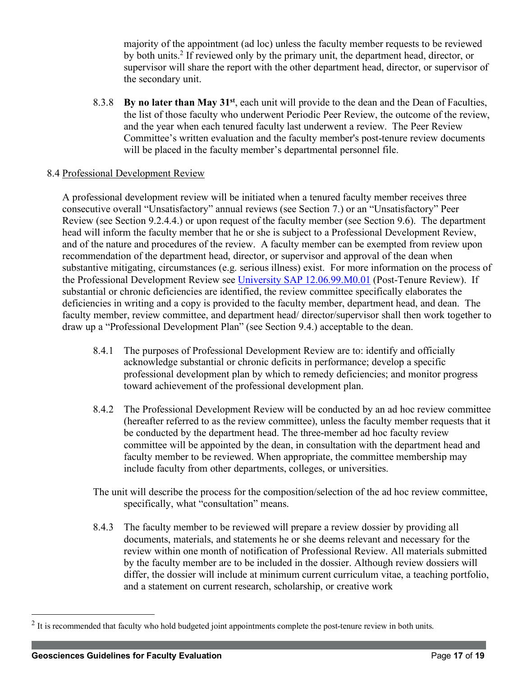majority of the appointment (ad loc) unless the faculty member requests to be reviewed by both units.2 If reviewed only by the primary unit, the department head, director, or supervisor will share the report with the other department head, director, or supervisor of the secondary unit.

8.3.8 **By no later than May 31st**, each unit will provide to the dean and the Dean of Faculties, the list of those faculty who underwent Periodic Peer Review, the outcome of the review, and the year when each tenured faculty last underwent a review. The Peer Review Committee's written evaluation and the faculty member's post-tenure review documents will be placed in the faculty member's departmental personnel file.

#### 8.4 Professional Development Review

A professional development review will be initiated when a tenured faculty member receives three consecutive overall "Unsatisfactory" annual reviews (see Section 7.) or an "Unsatisfactory" Peer Review (see Section 9.2.4.4.) or upon request of the faculty member (see Section 9.6). The department head will inform the faculty member that he or she is subject to a Professional Development Review, and of the nature and procedures of the review. A faculty member can be exempted from review upon recommendation of the department head, director, or supervisor and approval of the dean when substantive mitigating, circumstances (e.g. serious illness) exist. For more information on the process of the Professional Development Review see University SAP 12.06.99.M0.01 (Post-Tenure Review). If substantial or chronic deficiencies are identified, the review committee specifically elaborates the deficiencies in writing and a copy is provided to the faculty member, department head, and dean. The faculty member, review committee, and department head/ director/supervisor shall then work together to draw up a "Professional Development Plan" (see Section 9.4.) acceptable to the dean.

- 8.4.1 The purposes of Professional Development Review are to: identify and officially acknowledge substantial or chronic deficits in performance; develop a specific professional development plan by which to remedy deficiencies; and monitor progress toward achievement of the professional development plan.
- 8.4.2 The Professional Development Review will be conducted by an ad hoc review committee (hereafter referred to as the review committee), unless the faculty member requests that it be conducted by the department head. The three-member ad hoc faculty review committee will be appointed by the dean, in consultation with the department head and faculty member to be reviewed. When appropriate, the committee membership may include faculty from other departments, colleges, or universities.
- The unit will describe the process for the composition/selection of the ad hoc review committee, specifically, what "consultation" means.
- 8.4.3 The faculty member to be reviewed will prepare a review dossier by providing all documents, materials, and statements he or she deems relevant and necessary for the review within one month of notification of Professional Review. All materials submitted by the faculty member are to be included in the dossier. Although review dossiers will differ, the dossier will include at minimum current curriculum vitae, a teaching portfolio, and a statement on current research, scholarship, or creative work

 $2$  It is recommended that faculty who hold budgeted joint appointments complete the post-tenure review in both units.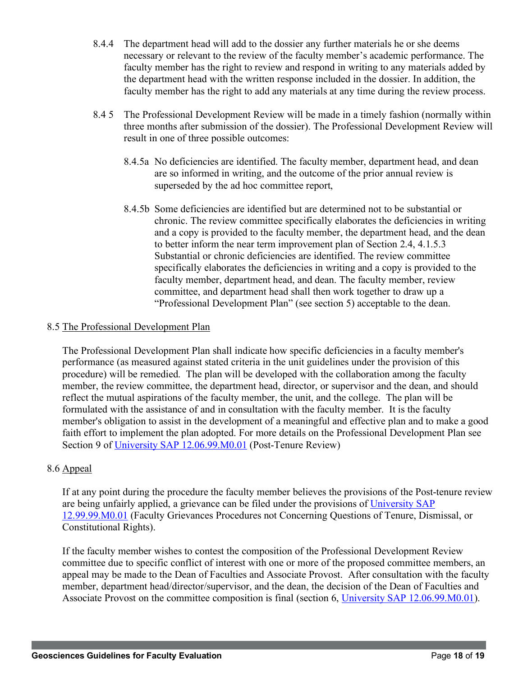- 8.4.4 The department head will add to the dossier any further materials he or she deems necessary or relevant to the review of the faculty member's academic performance. The faculty member has the right to review and respond in writing to any materials added by the department head with the written response included in the dossier. In addition, the faculty member has the right to add any materials at any time during the review process.
- 8.4 5 The Professional Development Review will be made in a timely fashion (normally within three months after submission of the dossier). The Professional Development Review will result in one of three possible outcomes:
	- 8.4.5a No deficiencies are identified. The faculty member, department head, and dean are so informed in writing, and the outcome of the prior annual review is superseded by the ad hoc committee report,
	- 8.4.5b Some deficiencies are identified but are determined not to be substantial or chronic. The review committee specifically elaborates the deficiencies in writing and a copy is provided to the faculty member, the department head, and the dean to better inform the near term improvement plan of Section 2.4, 4.1.5.3 Substantial or chronic deficiencies are identified. The review committee specifically elaborates the deficiencies in writing and a copy is provided to the faculty member, department head, and dean. The faculty member, review committee, and department head shall then work together to draw up a "Professional Development Plan" (see section 5) acceptable to the dean.

## 8.5 The Professional Development Plan

The Professional Development Plan shall indicate how specific deficiencies in a faculty member's performance (as measured against stated criteria in the unit guidelines under the provision of this procedure) will be remedied. The plan will be developed with the collaboration among the faculty member, the review committee, the department head, director, or supervisor and the dean, and should reflect the mutual aspirations of the faculty member, the unit, and the college. The plan will be formulated with the assistance of and in consultation with the faculty member. It is the faculty member's obligation to assist in the development of a meaningful and effective plan and to make a good faith effort to implement the plan adopted. For more details on the Professional Development Plan see Section 9 of University SAP 12.06.99.M0.01 (Post-Tenure Review)

#### 8.6 Appeal

If at any point during the procedure the faculty member believes the provisions of the Post-tenure review are being unfairly applied, a grievance can be filed under the provisions of University SAP 12.99.99.M0.01 (Faculty Grievances Procedures not Concerning Questions of Tenure, Dismissal, or Constitutional Rights).

If the faculty member wishes to contest the composition of the Professional Development Review committee due to specific conflict of interest with one or more of the proposed committee members, an appeal may be made to the Dean of Faculties and Associate Provost. After consultation with the faculty member, department head/director/supervisor, and the dean, the decision of the Dean of Faculties and Associate Provost on the committee composition is final (section 6, University SAP 12.06.99.M0.01).